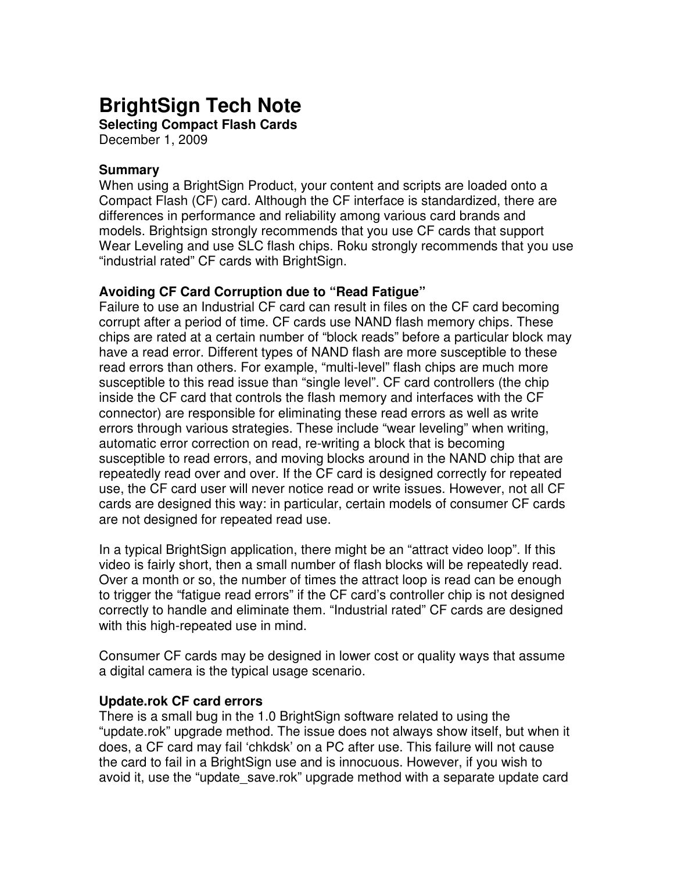# **BrightSign Tech Note**

**Selecting Compact Flash Cards**  December 1, 2009

#### **Summary**

When using a BrightSign Product, your content and scripts are loaded onto a Compact Flash (CF) card. Although the CF interface is standardized, there are differences in performance and reliability among various card brands and models. Brightsign strongly recommends that you use CF cards that support Wear Leveling and use SLC flash chips. Roku strongly recommends that you use "industrial rated" CF cards with BrightSign.

#### **Avoiding CF Card Corruption due to "Read Fatigue"**

Failure to use an Industrial CF card can result in files on the CF card becoming corrupt after a period of time. CF cards use NAND flash memory chips. These chips are rated at a certain number of "block reads" before a particular block may have a read error. Different types of NAND flash are more susceptible to these read errors than others. For example, "multi-level" flash chips are much more susceptible to this read issue than "single level". CF card controllers (the chip inside the CF card that controls the flash memory and interfaces with the CF connector) are responsible for eliminating these read errors as well as write errors through various strategies. These include "wear leveling" when writing, automatic error correction on read, re-writing a block that is becoming susceptible to read errors, and moving blocks around in the NAND chip that are repeatedly read over and over. If the CF card is designed correctly for repeated use, the CF card user will never notice read or write issues. However, not all CF cards are designed this way: in particular, certain models of consumer CF cards are not designed for repeated read use.

In a typical BrightSign application, there might be an "attract video loop". If this video is fairly short, then a small number of flash blocks will be repeatedly read. Over a month or so, the number of times the attract loop is read can be enough to trigger the "fatigue read errors" if the CF card's controller chip is not designed correctly to handle and eliminate them. "Industrial rated" CF cards are designed with this high-repeated use in mind.

Consumer CF cards may be designed in lower cost or quality ways that assume a digital camera is the typical usage scenario.

#### **Update.rok CF card errors**

There is a small bug in the 1.0 BrightSign software related to using the "update.rok" upgrade method. The issue does not always show itself, but when it does, a CF card may fail 'chkdsk' on a PC after use. This failure will not cause the card to fail in a BrightSign use and is innocuous. However, if you wish to avoid it, use the "update save.rok" upgrade method with a separate update card